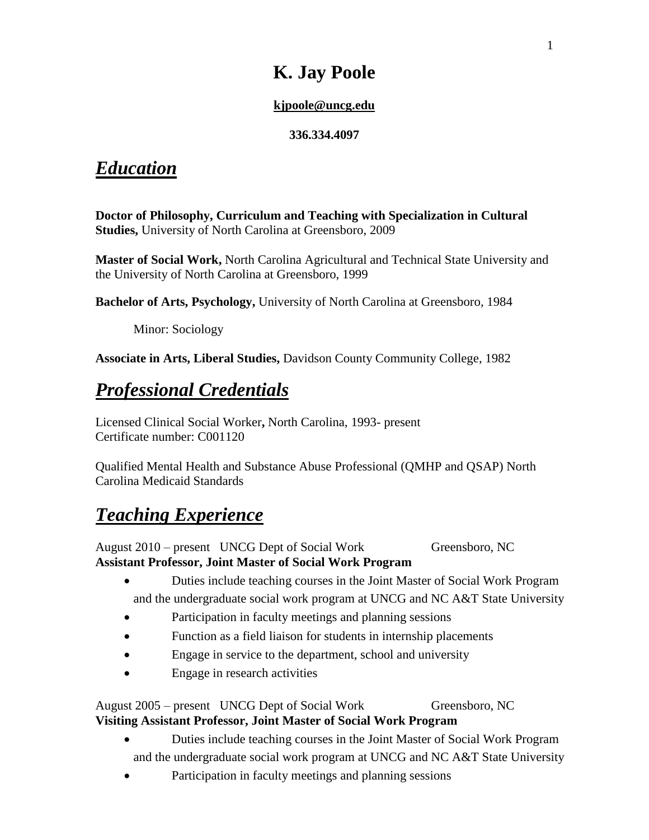# **K. Jay Poole**

#### **[kjpoole@uncg.edu](mailto:jaypoolephd@gmail.com)**

#### **336.334.4097**

# *Education*

**Doctor of Philosophy, Curriculum and Teaching with Specialization in Cultural Studies,** University of North Carolina at Greensboro, 2009

**Master of Social Work,** North Carolina Agricultural and Technical State University and the University of North Carolina at Greensboro, 1999

**Bachelor of Arts, Psychology,** University of North Carolina at Greensboro, 1984

Minor: Sociology

**Associate in Arts, Liberal Studies,** Davidson County Community College, 1982

# *Professional Credentials*

Licensed Clinical Social Worker**,** North Carolina, 1993- present Certificate number: C001120

Qualified Mental Health and Substance Abuse Professional (QMHP and QSAP) North Carolina Medicaid Standards

# *Teaching Experience*

August 2010 – present UNCG Dept of Social Work Greensboro, NC **Assistant Professor, Joint Master of Social Work Program**

- Duties include teaching courses in the Joint Master of Social Work Program and the undergraduate social work program at UNCG and NC A&T State University
- Participation in faculty meetings and planning sessions
- Function as a field liaison for students in internship placements
- Engage in service to the department, school and university
- Engage in research activities

#### August 2005 – present UNCG Dept of Social Work Greensboro, NC **Visiting Assistant Professor, Joint Master of Social Work Program**

- Duties include teaching courses in the Joint Master of Social Work Program and the undergraduate social work program at UNCG and NC A&T State University
- Participation in faculty meetings and planning sessions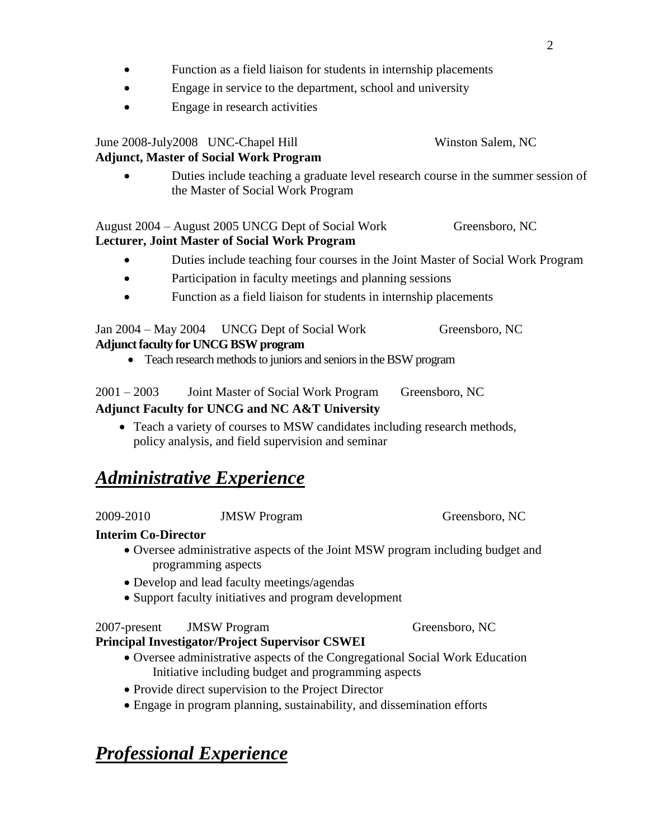- Function as a field liaison for students in internship placements
- Engage in service to the department, school and university
- Engage in research activities

#### June 2008-July2008 UNC-Chapel Hill Winston Salem, NC **Adjunct, Master of Social Work Program**

 Duties include teaching a graduate level research course in the summer session of the Master of Social Work Program

#### August 2004 – August 2005 UNCG Dept of Social Work Greensboro, NC **Lecturer, Joint Master of Social Work Program**

- Duties include teaching four courses in the Joint Master of Social Work Program
- Participation in faculty meetings and planning sessions
- Function as a field liaison for students in internship placements

#### Jan 2004 – May 2004 UNCG Dept of Social Work Greensboro, NC **Adjunct faculty for UNCG BSW program**

Teach research methods to juniors and seniors in the BSW program

| $2001 - 2003$ | Joint Master of Social Work Program | Greensboro, NC |
|---------------|-------------------------------------|----------------|
|---------------|-------------------------------------|----------------|

#### **Adjunct Faculty for UNCG and NC A&T University**

• Teach a variety of courses to MSW candidates including research methods, policy analysis, and field supervision and seminar

# *Administrative Experience*

2009-2010 JMSW Program Greensboro, NC

### **Interim Co-Director**

- Oversee administrative aspects of the Joint MSW program including budget and programming aspects
- Develop and lead faculty meetings/agendas
- Support faculty initiatives and program development

#### 2007-present JMSW Program Greensboro, NC

### **Principal Investigator/Project Supervisor CSWEI**

- Oversee administrative aspects of the Congregational Social Work Education Initiative including budget and programming aspects
- Provide direct supervision to the Project Director
- Engage in program planning, sustainability, and dissemination efforts

# *Professional Experience*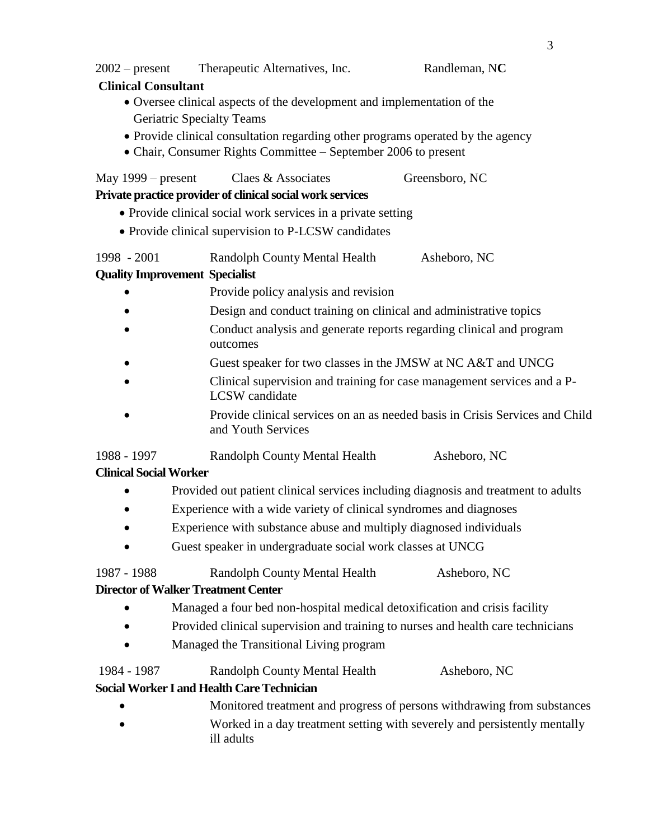2002 – present Therapeutic Alternatives, Inc. Randleman, N**C**

#### **Clinical Consultant**

- Oversee clinical aspects of the development and implementation of the Geriatric Specialty Teams
- Provide clinical consultation regarding other programs operated by the agency
- Chair, Consumer Rights Committee September 2006 to present

| May 1999 – present | Claes & Associates | Greensboro, NC |
|--------------------|--------------------|----------------|
|                    |                    |                |

#### **Private practice provider of clinical social work services**

- Provide clinical social work services in a private setting
- Provide clinical supervision to P-LCSW candidates

1998 - 2001 Randolph County Mental Health Asheboro, NC

#### **Quality Improvement Specialist**

- Provide policy analysis and revision
- Design and conduct training on clinical and administrative topics
- Conduct analysis and generate reports regarding clinical and program outcomes
- Guest speaker for two classes in the JMSW at NC A&T and UNCG
- Clinical supervision and training for case management services and a P-LCSW candidate
- Provide clinical services on an as needed basis in Crisis Services and Child and Youth Services

1988 - 1997 Randolph County Mental Health Asheboro, NC

#### **Clinical Social Worker**

- Provided out patient clinical services including diagnosis and treatment to adults
- Experience with a wide variety of clinical syndromes and diagnoses
- Experience with substance abuse and multiply diagnosed individuals
- Guest speaker in undergraduate social work classes at UNCG

1987 - 1988 Randolph County Mental Health Asheboro, NC

#### **Director of Walker Treatment Center**

- Managed a four bed non-hospital medical detoxification and crisis facility
- Provided clinical supervision and training to nurses and health care technicians
- Managed the Transitional Living program

#### 1984 - 1987 Randolph County Mental Health Asheboro, NC

#### **Social Worker I and Health Care Technician**

- Monitored treatment and progress of persons withdrawing from substances
- Worked in a day treatment setting with severely and persistently mentally ill adults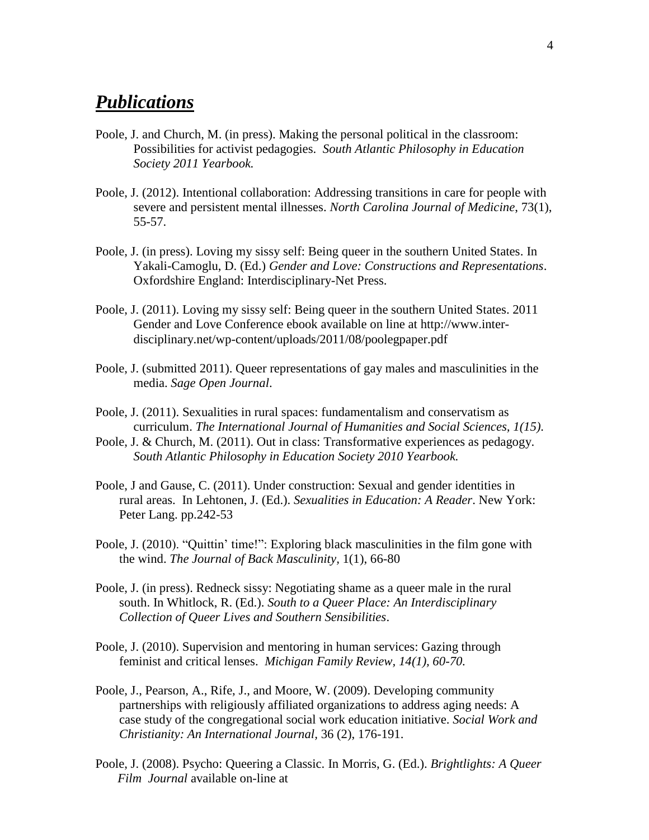### *Publications*

- Poole, J. and Church, M. (in press). Making the personal political in the classroom: Possibilities for activist pedagogies. *South Atlantic Philosophy in Education Society 2011 Yearbook.*
- Poole, J. (2012). Intentional collaboration: Addressing transitions in care for people with severe and persistent mental illnesses. *North Carolina Journal of Medicine*, 73(1), 55-57.
- Poole, J. (in press). Loving my sissy self: Being queer in the southern United States. In Yakali-Camoglu, D. (Ed.) *Gender and Love: Constructions and Representations*. Oxfordshire England: Interdisciplinary-Net Press.
- Poole, J. (2011). Loving my sissy self: Being queer in the southern United States. 2011 Gender and Love Conference ebook available on line at http://www.interdisciplinary.net/wp-content/uploads/2011/08/poolegpaper.pdf
- Poole, J. (submitted 2011). Queer representations of gay males and masculinities in the media. *Sage Open Journal*.
- Poole, J. (2011). Sexualities in rural spaces: fundamentalism and conservatism as curriculum. *The International Journal of Humanities and Social Sciences, 1(15).*
- Poole, J. & Church, M. (2011). Out in class: Transformative experiences as pedagogy. *South Atlantic Philosophy in Education Society 2010 Yearbook.*
- Poole, J and Gause, C. (2011). Under construction: Sexual and gender identities in rural areas. In Lehtonen, J. (Ed.). *Sexualities in Education: A Reader*. New York: Peter Lang. pp.242-53
- Poole, J. (2010). "Quittin' time!": Exploring black masculinities in the film gone with the wind. *The Journal of Back Masculinity,* 1(1), 66-80
- Poole, J. (in press). Redneck sissy: Negotiating shame as a queer male in the rural south. In Whitlock, R. (Ed.). *South to a Queer Place: An Interdisciplinary Collection of Queer Lives and Southern Sensibilities*.
- Poole, J. (2010). Supervision and mentoring in human services: Gazing through feminist and critical lenses. *Michigan Family Review, 14(1), 60-70.*
- Poole, J., Pearson, A., Rife, J., and Moore, W. (2009). Developing community partnerships with religiously affiliated organizations to address aging needs: A case study of the congregational social work education initiative. *Social Work and Christianity: An International Journal,* 36 (2), 176-191.
- Poole, J. (2008). Psycho: Queering a Classic. In Morris, G. (Ed.). *Brightlights: A Queer Film Journal* available on-line at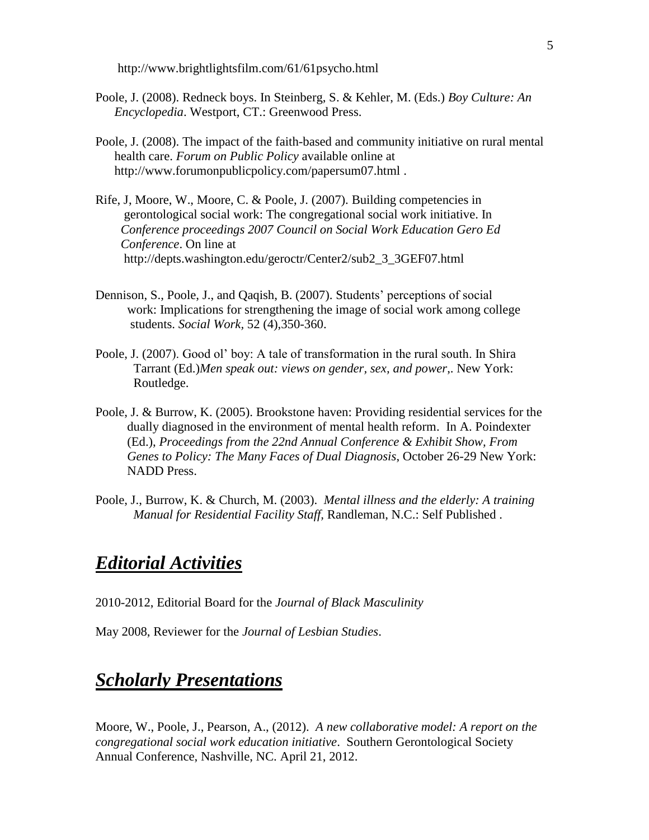http://www.brightlightsfilm.com/61/61psycho.html

- Poole, J. (2008). Redneck boys. In Steinberg, S. & Kehler, M. (Eds.) *Boy Culture: An Encyclopedia*. Westport, CT.: Greenwood Press.
- Poole, J. (2008). The impact of the faith-based and community initiative on rural mental health care. *Forum on Public Policy* available online at http://www.forumonpublicpolicy.com/papersum07.html .
- Rife, J, Moore, W., Moore, C. & Poole, J. (2007). Building competencies in gerontological social work: The congregational social work initiative. In *Conference proceedings 2007 Council on Social Work Education Gero Ed Conference*. On line at http://depts.washington.edu/geroctr/Center2/sub2\_3\_3GEF07.html
- Dennison, S., Poole, J., and Qaqish, B. (2007). Students' perceptions of social work: Implications for strengthening the image of social work among college students. *Social Work,* 52 (4),350-360.
- Poole, J. (2007). Good ol' boy: A tale of transformation in the rural south. In Shira Tarrant (Ed.)*Men speak out: views on gender, sex, and power*,. New York: Routledge.
- Poole, J. & Burrow, K. (2005). Brookstone haven: Providing residential services for the dually diagnosed in the environment of mental health reform. In A. Poindexter (Ed.), *Proceedings from the 22nd Annual Conference & Exhibit Show, From Genes to Policy: The Many Faces of Dual Diagnosis*, October 26-29 New York: NADD Press.
- Poole, J., Burrow, K. & Church, M. (2003). *Mental illness and the elderly: A training Manual for Residential Facility Staff,* Randleman, N.C.: Self Published .

## *Editorial Activities*

2010-2012, Editorial Board for the *Journal of Black Masculinity*

May 2008, Reviewer for the *Journal of Lesbian Studies*.

# *Scholarly Presentations*

Moore, W., Poole, J., Pearson, A., (2012). *A new collaborative model: A report on the congregational social work education initiative*. Southern Gerontological Society Annual Conference, Nashville, NC. April 21, 2012.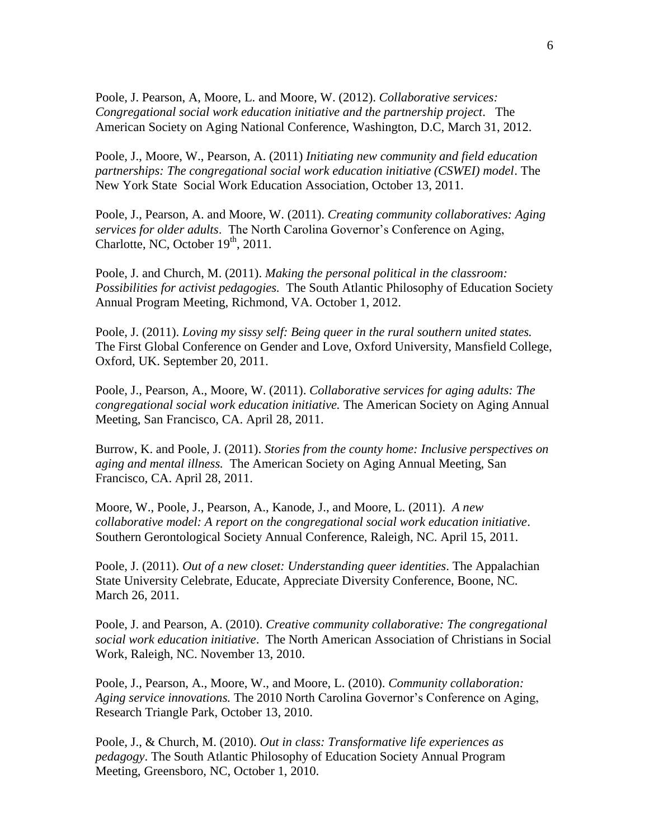Poole, J. Pearson, A, Moore, L. and Moore, W. (2012). *Collaborative services: Congregational social work education initiative and the partnership project*. The American Society on Aging National Conference, Washington, D.C, March 31, 2012.

Poole, J., Moore, W., Pearson, A. (2011) *Initiating new community and field education partnerships: The congregational social work education initiative (CSWEI) model*. The New York State Social Work Education Association, October 13, 2011.

Poole, J., Pearson, A. and Moore, W. (2011). *Creating community collaboratives: Aging services for older adults*. The North Carolina Governor's Conference on Aging, Charlotte, NC, October  $19<sup>th</sup>$ , 2011.

Poole, J. and Church, M. (2011). *Making the personal political in the classroom: Possibilities for activist pedagogies.* The South Atlantic Philosophy of Education Society Annual Program Meeting, Richmond, VA. October 1, 2012.

Poole, J. (2011). *Loving my sissy self: Being queer in the rural southern united states.* The First Global Conference on Gender and Love, Oxford University, Mansfield College, Oxford, UK. September 20, 2011.

Poole, J., Pearson, A., Moore, W. (2011). *Collaborative services for aging adults: The congregational social work education initiative.* The American Society on Aging Annual Meeting, San Francisco, CA. April 28, 2011.

Burrow, K. and Poole, J. (2011). *Stories from the county home: Inclusive perspectives on aging and mental illness.* The American Society on Aging Annual Meeting, San Francisco, CA. April 28, 2011.

Moore, W., Poole, J., Pearson, A., Kanode, J., and Moore, L. (2011). *A new collaborative model: A report on the congregational social work education initiative*. Southern Gerontological Society Annual Conference, Raleigh, NC. April 15, 2011.

Poole, J. (2011). *Out of a new closet: Understanding queer identities*. The Appalachian State University Celebrate, Educate, Appreciate Diversity Conference, Boone, NC. March 26, 2011.

Poole, J. and Pearson, A. (2010). *Creative community collaborative: The congregational social work education initiative*. The North American Association of Christians in Social Work, Raleigh, NC. November 13, 2010.

Poole, J., Pearson, A., Moore, W., and Moore, L. (2010). *Community collaboration: Aging service innovations.* The 2010 North Carolina Governor's Conference on Aging, Research Triangle Park, October 13, 2010.

Poole, J., & Church, M. (2010). *Out in class: Transformative life experiences as pedagogy*. The South Atlantic Philosophy of Education Society Annual Program Meeting, Greensboro, NC, October 1, 2010.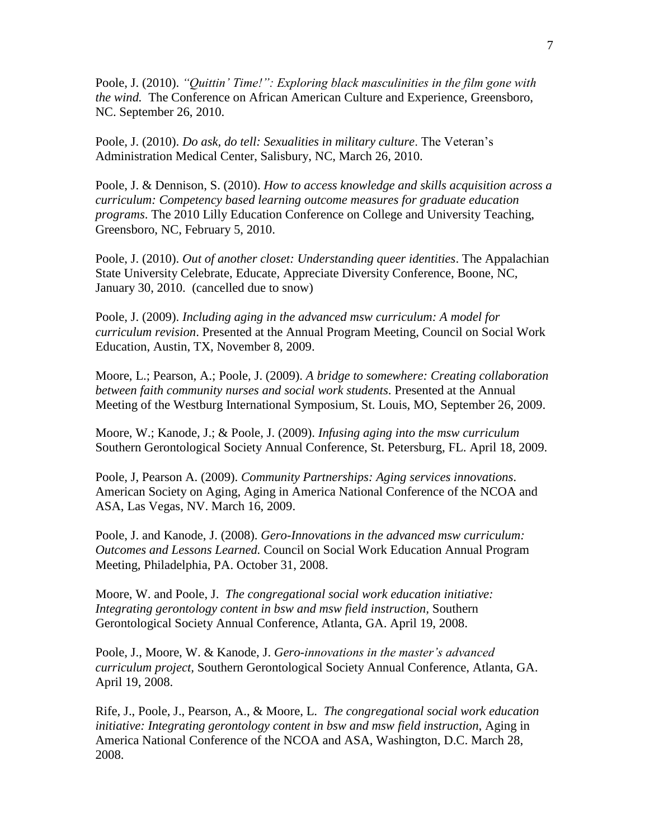Poole, J. (2010). *"Quittin' Time!": Exploring black masculinities in the film gone with the wind.* The Conference on African American Culture and Experience, Greensboro, NC. September 26, 2010.

Poole, J. (2010). *Do ask, do tell: Sexualities in military culture*. The Veteran's Administration Medical Center, Salisbury, NC, March 26, 2010.

Poole, J. & Dennison, S. (2010). *How to access knowledge and skills acquisition across a curriculum: Competency based learning outcome measures for graduate education programs*. The 2010 Lilly Education Conference on College and University Teaching, Greensboro, NC, February 5, 2010.

Poole, J. (2010). *Out of another closet: Understanding queer identities*. The Appalachian State University Celebrate, Educate, Appreciate Diversity Conference, Boone, NC, January 30, 2010. (cancelled due to snow)

Poole, J. (2009). *Including aging in the advanced msw curriculum: A model for curriculum revision*. Presented at the Annual Program Meeting, Council on Social Work Education, Austin, TX, November 8, 2009.

Moore, L.; Pearson, A.; Poole, J. (2009). *A bridge to somewhere: Creating collaboration between faith community nurses and social work students*. Presented at the Annual Meeting of the Westburg International Symposium, St. Louis, MO, September 26, 2009.

Moore, W.; Kanode, J.; & Poole, J. (2009). *Infusing aging into the msw curriculum* Southern Gerontological Society Annual Conference, St. Petersburg, FL. April 18, 2009.

Poole, J, Pearson A. (2009). *Community Partnerships: Aging services innovations*. American Society on Aging, Aging in America National Conference of the NCOA and ASA, Las Vegas, NV. March 16, 2009.

Poole, J. and Kanode, J. (2008). *Gero-Innovations in the advanced msw curriculum: Outcomes and Lessons Learned.* Council on Social Work Education Annual Program Meeting, Philadelphia, PA. October 31, 2008.

Moore, W. and Poole, J. *The congregational social work education initiative: Integrating gerontology content in bsw and msw field instruction,* Southern Gerontological Society Annual Conference, Atlanta, GA. April 19, 2008.

Poole, J., Moore, W. & Kanode, J. *Gero-innovations in the master's advanced curriculum project,* Southern Gerontological Society Annual Conference, Atlanta, GA. April 19, 2008.

Rife, J., Poole, J., Pearson, A., & Moore, L. *The congregational social work education initiative: Integrating gerontology content in bsw and msw field instruction*, Aging in America National Conference of the NCOA and ASA, Washington, D.C. March 28, 2008.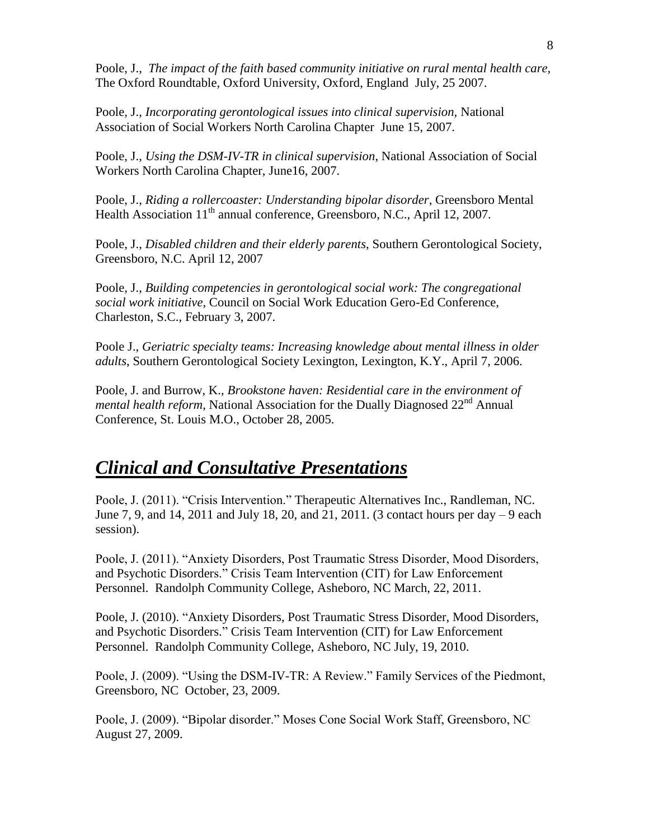Poole, J., *The impact of the faith based community initiative on rural mental health care,* The Oxford Roundtable, Oxford University, Oxford, England July, 25 2007.

Poole, J., *Incorporating gerontological issues into clinical supervision,* National Association of Social Workers North Carolina Chapter June 15, 2007.

Poole, J., *Using the DSM-IV-TR in clinical supervision*, National Association of Social Workers North Carolina Chapter, June16, 2007.

Poole, J., *Riding a rollercoaster: Understanding bipolar disorder*, Greensboro Mental Health Association 11<sup>th</sup> annual conference, Greensboro, N.C., April 12, 2007.

Poole, J., *Disabled children and their elderly parents*, Southern Gerontological Society, Greensboro, N.C. April 12, 2007

Poole, J., *Building competencies in gerontological social work: The congregational social work initiative*, Council on Social Work Education Gero-Ed Conference, Charleston, S.C., February 3, 2007.

Poole J., *Geriatric specialty teams: Increasing knowledge about mental illness in older adults*, Southern Gerontological Society Lexington, Lexington, K.Y., April 7, 2006.

Poole, J. and Burrow, K., *Brookstone haven: Residential care in the environment of mental health reform*, National Association for the Dually Diagnosed 22<sup>nd</sup> Annual Conference, St. Louis M.O., October 28, 2005.

# *Clinical and Consultative Presentations*

Poole, J. (2011). "Crisis Intervention." Therapeutic Alternatives Inc., Randleman, NC. June 7, 9, and 14, 2011 and July 18, 20, and 21, 2011. (3 contact hours per day – 9 each session).

Poole, J. (2011). "Anxiety Disorders, Post Traumatic Stress Disorder, Mood Disorders, and Psychotic Disorders." Crisis Team Intervention (CIT) for Law Enforcement Personnel. Randolph Community College, Asheboro, NC March, 22, 2011.

Poole, J. (2010). "Anxiety Disorders, Post Traumatic Stress Disorder, Mood Disorders, and Psychotic Disorders." Crisis Team Intervention (CIT) for Law Enforcement Personnel. Randolph Community College, Asheboro, NC July, 19, 2010.

Poole, J. (2009). "Using the DSM-IV-TR: A Review." Family Services of the Piedmont, Greensboro, NC October, 23, 2009.

Poole, J. (2009). "Bipolar disorder." Moses Cone Social Work Staff, Greensboro, NC August 27, 2009.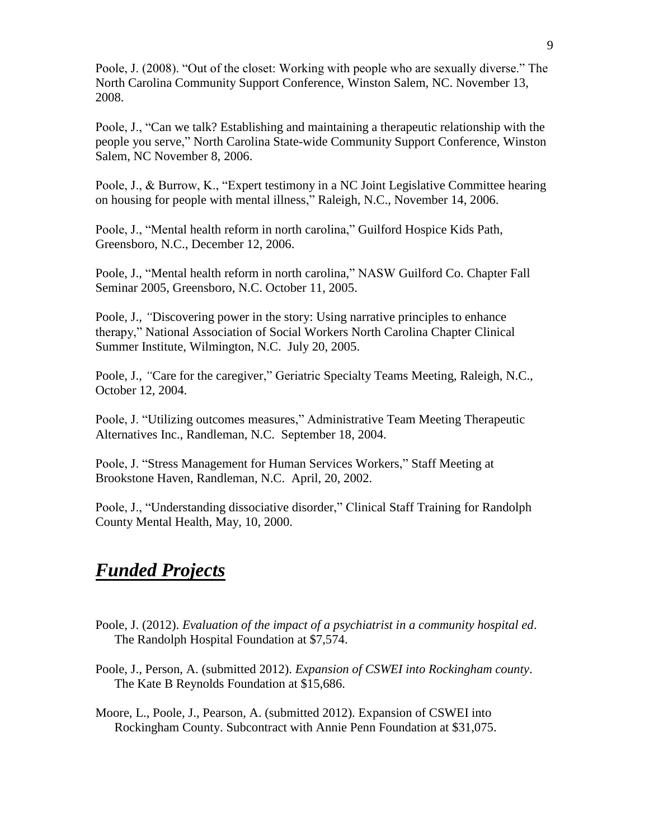Poole, J. (2008). "Out of the closet: Working with people who are sexually diverse." The North Carolina Community Support Conference, Winston Salem, NC. November 13, 2008.

Poole, J., "Can we talk? Establishing and maintaining a therapeutic relationship with the people you serve," North Carolina State-wide Community Support Conference, Winston Salem, NC November 8, 2006.

Poole, J., & Burrow, K., "Expert testimony in a NC Joint Legislative Committee hearing on housing for people with mental illness," Raleigh, N.C., November 14, 2006.

Poole, J., "Mental health reform in north carolina," Guilford Hospice Kids Path, Greensboro, N.C., December 12, 2006.

Poole, J., "Mental health reform in north carolina," NASW Guilford Co. Chapter Fall Seminar 2005, Greensboro, N.C. October 11, 2005.

Poole, J., *"*Discovering power in the story: Using narrative principles to enhance therapy," National Association of Social Workers North Carolina Chapter Clinical Summer Institute, Wilmington, N.C. July 20, 2005.

Poole, J., *"*Care for the caregiver," Geriatric Specialty Teams Meeting, Raleigh, N.C., October 12, 2004.

Poole, J. "Utilizing outcomes measures," Administrative Team Meeting Therapeutic Alternatives Inc., Randleman, N.C. September 18, 2004.

Poole, J. "Stress Management for Human Services Workers," Staff Meeting at Brookstone Haven, Randleman, N.C. April, 20, 2002.

Poole, J., "Understanding dissociative disorder," Clinical Staff Training for Randolph County Mental Health, May, 10, 2000.

# *Funded Projects*

- Poole, J. (2012). *Evaluation of the impact of a psychiatrist in a community hospital ed*. The Randolph Hospital Foundation at \$7,574.
- Poole, J., Person, A. (submitted 2012). *Expansion of CSWEI into Rockingham county*. The Kate B Reynolds Foundation at \$15,686.

Moore, L., Poole, J., Pearson, A. (submitted 2012). Expansion of CSWEI into Rockingham County. Subcontract with Annie Penn Foundation at \$31,075.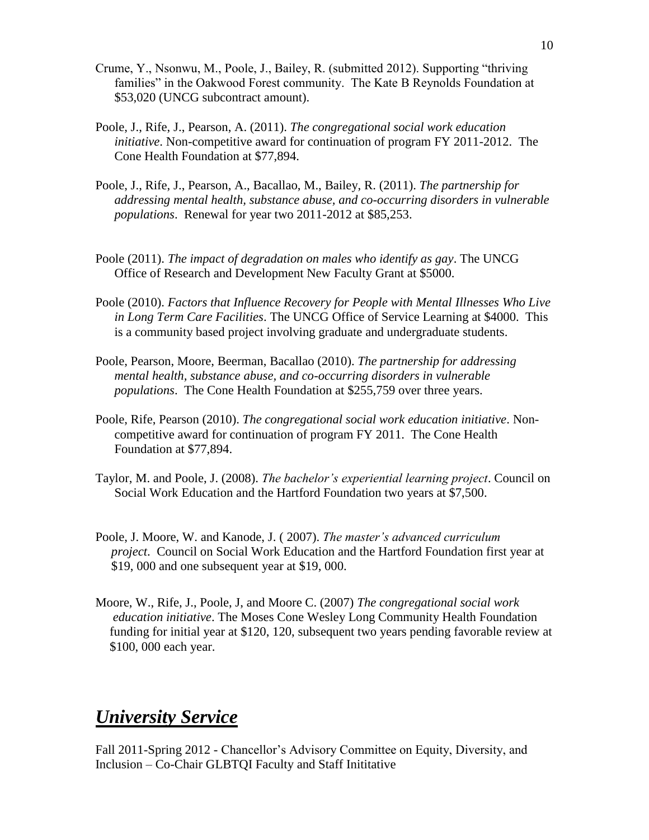- Crume, Y., Nsonwu, M., Poole, J., Bailey, R. (submitted 2012). Supporting "thriving families" in the Oakwood Forest community. The Kate B Reynolds Foundation at \$53,020 (UNCG subcontract amount).
- Poole, J., Rife, J., Pearson, A. (2011). *The congregational social work education initiative*. Non-competitive award for continuation of program FY 2011-2012. The Cone Health Foundation at \$77,894.
- Poole, J., Rife, J., Pearson, A., Bacallao, M., Bailey, R. (2011). *The partnership for addressing mental health, substance abuse, and co-occurring disorders in vulnerable populations*. Renewal for year two 2011-2012 at \$85,253.
- Poole (2011). *The impact of degradation on males who identify as gay*. The UNCG Office of Research and Development New Faculty Grant at \$5000.
- Poole (2010). *Factors that Influence Recovery for People with Mental Illnesses Who Live in Long Term Care Facilities*. The UNCG Office of Service Learning at \$4000. This is a community based project involving graduate and undergraduate students.
- Poole, Pearson, Moore, Beerman, Bacallao (2010). *The partnership for addressing mental health, substance abuse, and co-occurring disorders in vulnerable populations*. The Cone Health Foundation at \$255,759 over three years.
- Poole, Rife, Pearson (2010). *The congregational social work education initiative*. Noncompetitive award for continuation of program FY 2011. The Cone Health Foundation at \$77,894.
- Taylor, M. and Poole, J. (2008). *The bachelor's experiential learning project*. Council on Social Work Education and the Hartford Foundation two years at \$7,500.
- Poole, J. Moore, W. and Kanode, J. ( 2007). *The master's advanced curriculum project*. Council on Social Work Education and the Hartford Foundation first year at \$19, 000 and one subsequent year at \$19, 000.
- Moore, W., Rife, J., Poole, J, and Moore C. (2007) *The congregational social work education initiative*. The Moses Cone Wesley Long Community Health Foundation funding for initial year at \$120, 120, subsequent two years pending favorable review at \$100, 000 each year.

# *University Service*

Fall 2011-Spring 2012 - Chancellor's Advisory Committee on Equity, Diversity, and Inclusion – Co-Chair GLBTQI Faculty and Staff Inititative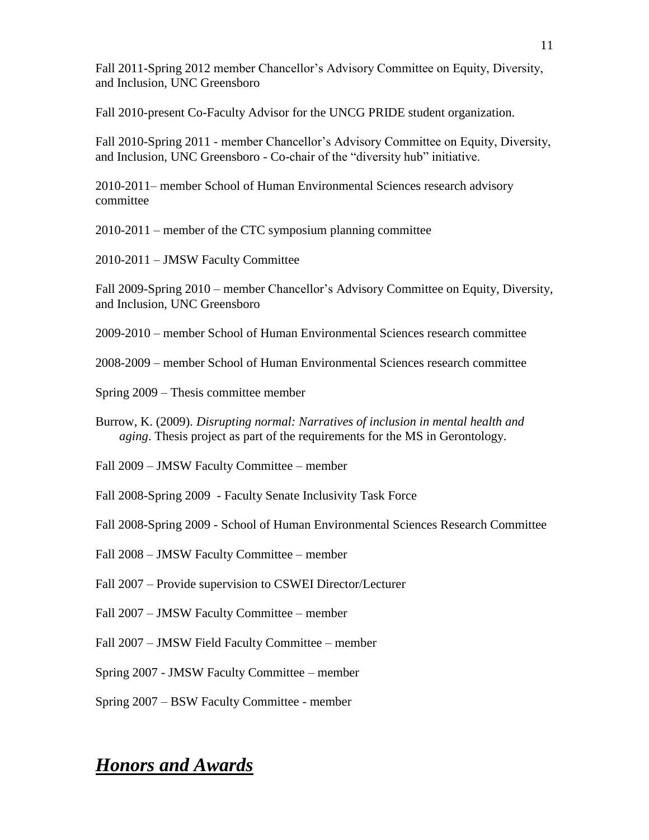Fall 2011-Spring 2012 member Chancellor's Advisory Committee on Equity, Diversity, and Inclusion, UNC Greensboro

Fall 2010-present Co-Faculty Advisor for the UNCG PRIDE student organization.

Fall 2010-Spring 2011 - member Chancellor's Advisory Committee on Equity, Diversity, and Inclusion, UNC Greensboro - Co-chair of the "diversity hub" initiative.

2010-2011– member School of Human Environmental Sciences research advisory committee

2010-2011 – member of the CTC symposium planning committee

2010-2011 – JMSW Faculty Committee

Fall 2009-Spring 2010 – member Chancellor's Advisory Committee on Equity, Diversity, and Inclusion, UNC Greensboro

2009-2010 – member School of Human Environmental Sciences research committee

2008-2009 – member School of Human Environmental Sciences research committee

Spring 2009 – Thesis committee member

Burrow, K. (2009). *Disrupting normal: Narratives of inclusion in mental health and aging*. Thesis project as part of the requirements for the MS in Gerontology.

Fall 2009 – JMSW Faculty Committee – member

Fall 2008-Spring 2009 - Faculty Senate Inclusivity Task Force

Fall 2008-Spring 2009 - School of Human Environmental Sciences Research Committee

Fall 2008 – JMSW Faculty Committee – member

Fall 2007 – Provide supervision to CSWEI Director/Lecturer

Fall 2007 – JMSW Faculty Committee – member

Fall 2007 – JMSW Field Faculty Committee – member

Spring 2007 - JMSW Faculty Committee – member

Spring 2007 – BSW Faculty Committee - member

# *Honors and Awards*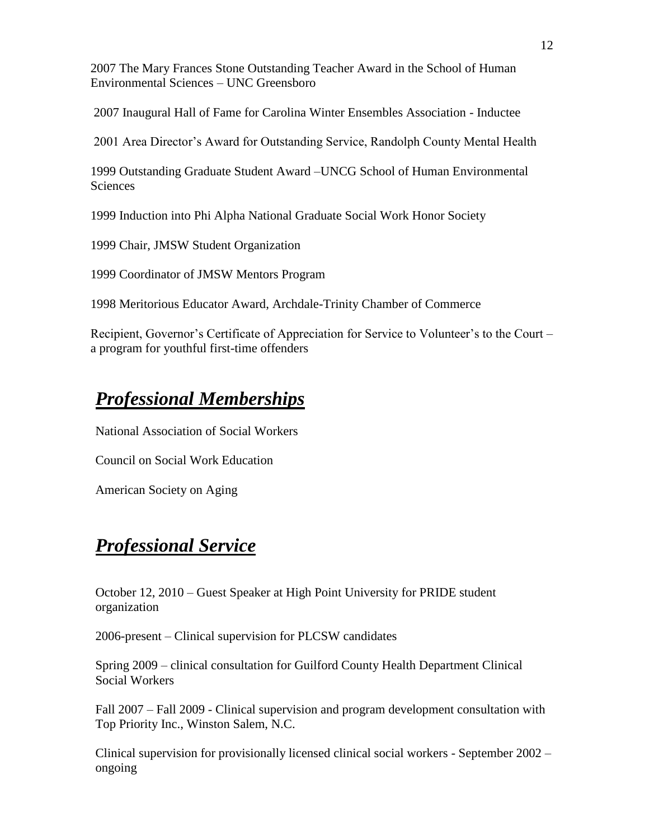2007 The Mary Frances Stone Outstanding Teacher Award in the School of Human Environmental Sciences – UNC Greensboro

2007 Inaugural Hall of Fame for Carolina Winter Ensembles Association - Inductee

2001 Area Director's Award for Outstanding Service, Randolph County Mental Health

1999 Outstanding Graduate Student Award –UNCG School of Human Environmental **Sciences** 

1999 Induction into Phi Alpha National Graduate Social Work Honor Society

1999 Chair, JMSW Student Organization

1999 Coordinator of JMSW Mentors Program

1998 Meritorious Educator Award, Archdale-Trinity Chamber of Commerce

Recipient, Governor's Certificate of Appreciation for Service to Volunteer's to the Court – a program for youthful first-time offenders

# *Professional Memberships*

National Association of Social Workers

Council on Social Work Education

American Society on Aging

# *Professional Service*

October 12, 2010 – Guest Speaker at High Point University for PRIDE student organization

2006-present – Clinical supervision for PLCSW candidates

Spring 2009 – clinical consultation for Guilford County Health Department Clinical Social Workers

Fall 2007 – Fall 2009 - Clinical supervision and program development consultation with Top Priority Inc., Winston Salem, N.C.

Clinical supervision for provisionally licensed clinical social workers - September 2002 – ongoing